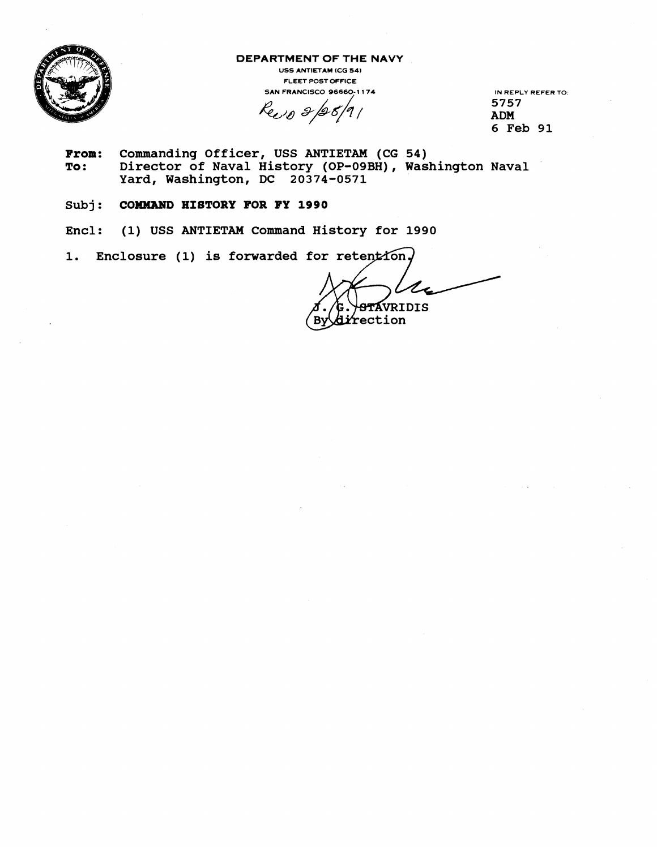

**DEPARTMENT OF THE NAVY** 

**USS ANTIETAM ICG 54) FLEET POST OFFICE SAN FRANCISCO 96660-1174 IN REPLY REFER TO:** 

Rec 0 2/20/91

**5757 ADM 6 Feb 91** 

- From: Commanding Officer, USS ANTIETAM (CG 54)<br>To: Director of Naval History (OP-09BH), Was **To: Director of Naval History (OP-09BH), Washington Naval Yard, Washington, DC 20374-0571**
- Subj: **COMMAND HISTORY FOR FY 1990**
- **Encl: (1) USS ANTIETAM Command History for 1990**
- **1. Enclosure (1) is forwarded**

TAVRIDIS rection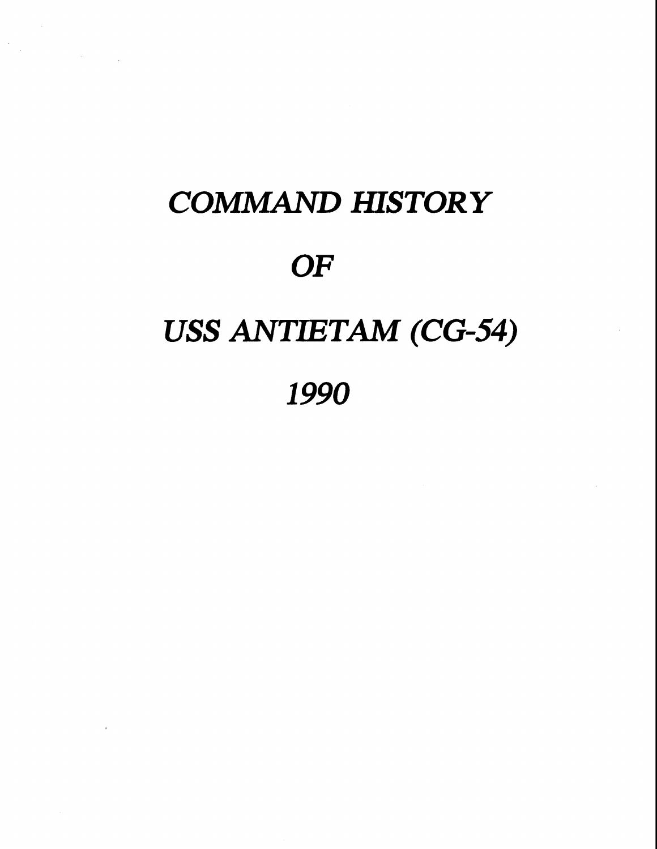# *COMlMAND HISTORY OF*  **USS ANTIETAM (CG-54) 1990**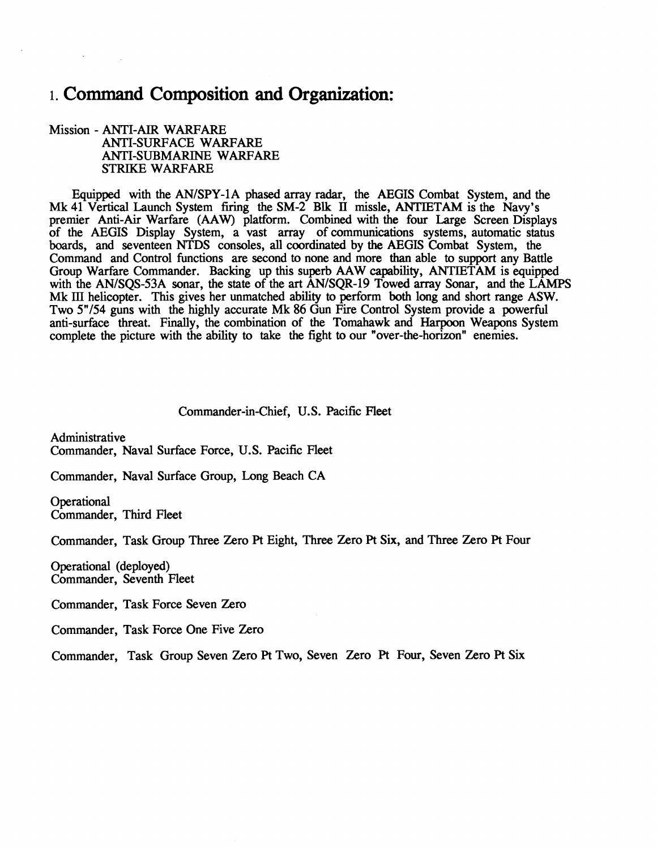## 1. **Command Composition and Organization:**

#### Mission - ANTI-AIR WARFARE ANTI-SURFACE WARFARE ANTI-SUBMARINE WARFARE STRIKE WARFARE

Equipped with the AN/SPY-1A phased array radar, the AEGIS Combat System, and the Mk 41 Vertical Launch System firing the SM-2 Blk **II** missle, ANTIETAM is the Navy's premier Anti-Air Warfare **(AAW)** platform. Combined with the four Large Screen Displays of the AEGIS Display System, a vast array of communications systems, automatic status boards, and seventeen NTDS consoles, **all** coordinated by the AEGIS Combat System, the Command and Control functions are second to none and more than able to support any Battle Group Warfare Commander. Backing up this superb AAW capability, ANTIETAM is equipped with the AN/SQS-53A sonar, the state of the art AN/SQR-19 Towed array Sonar, and the LAMPS Mk **111** helicopter. This gives her unmatched ability to perform both long and short range ASW. Two 5"/54 guns with the highly accurate Mk 86 Gun Fire Control System provide a powerful anti-surface threat. Finally, the combination of the Tomahawk and Harpoon Weapons System complete the picture with the ability to take the fight to our "over-the-horizon" enemies.

Commander-in-Chief, U.S. Pacific Fleet

Administrative Commander, Naval Surface Force, U.S. Pacific Fleet

Commander, Naval Surface Group, Long Beach CA

**Operational** Commander, Third Fleet

Commander, Task Group Three Zero **R** Eight, Three Zero Pt Six, and Three Zero Pt Four

Operational (deployed) Commander, Seventh Fleet

Commander, Task Force Seven Zero

Commander, Task Force One Five Zero

Commander, Task Group Seven Zero **R** Two, Seven Zero Pt Four, Seven Zero Pt Six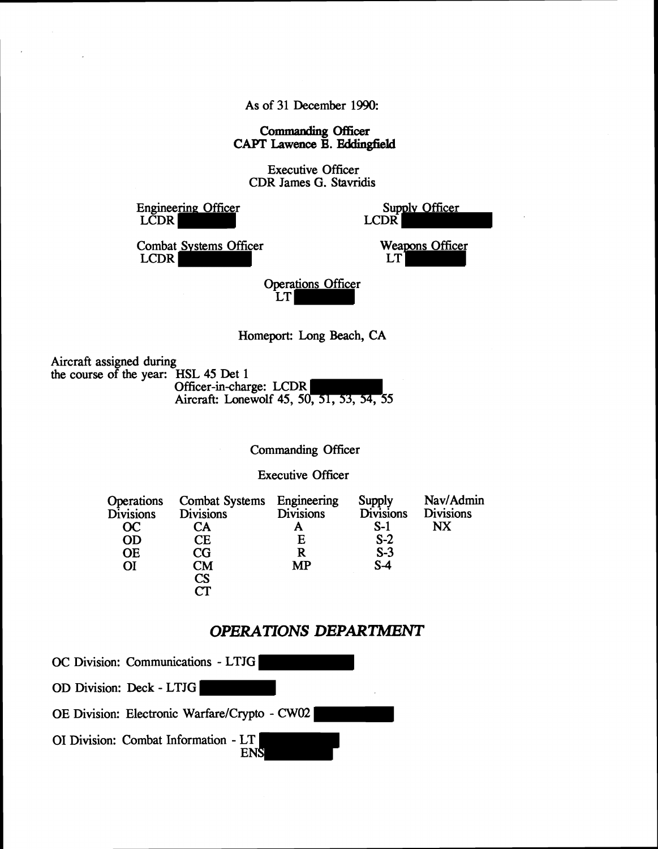As of **31** December **1990:** 

*Commaoding* **Officer CAPT** Lawence **B.** Eddingfield

Executive Officer CDR James G. Stavridis

Engineering Officer LCDR

 $\overline{\phantom{a}}$ 

Supply Officer LCDR<sup>1</sup>

Combat Systems Officer LCDR

Weapons Officer LT|

Operations Officer LT

Homeport: Long Beach, CA

Aircraft assigned during the course of the year: HSL **45** Det **1**  Officer-in-charge: LCDR Aircraft: Lonewolf **45, 50, 51, 53, 54, 55** 

Commanding Officer

Executive Officer

| Operations       | <b>Combat Systems</b>      | Engineering      | Supply           | Nav/Admin        |
|------------------|----------------------------|------------------|------------------|------------------|
| <b>Divisions</b> | <b>Divisions</b>           | <b>Divisions</b> | <b>Divisions</b> | <b>Divisions</b> |
| OC               | CА                         |                  | $S-1$            | $N\!X$           |
| <b>OD</b>        | CЕ                         | E                | $S-2$            |                  |
| <b>OE</b>        | $\mathop{\rm CG}\nolimits$ | R                | $S-3$            |                  |
| ΟI               | CM                         | MP               | $S-4$            |                  |
|                  | CS                         |                  |                  |                  |
|                  | ~т                         |                  |                  |                  |

### **OPERATIONS DEPARTMENT**

OC Division: Communications - LTJG OD Division: Deck - LTJG OE Division: Electronic Warfare/Crypto - CW02 01 Division: Combat Information - LT **ENS**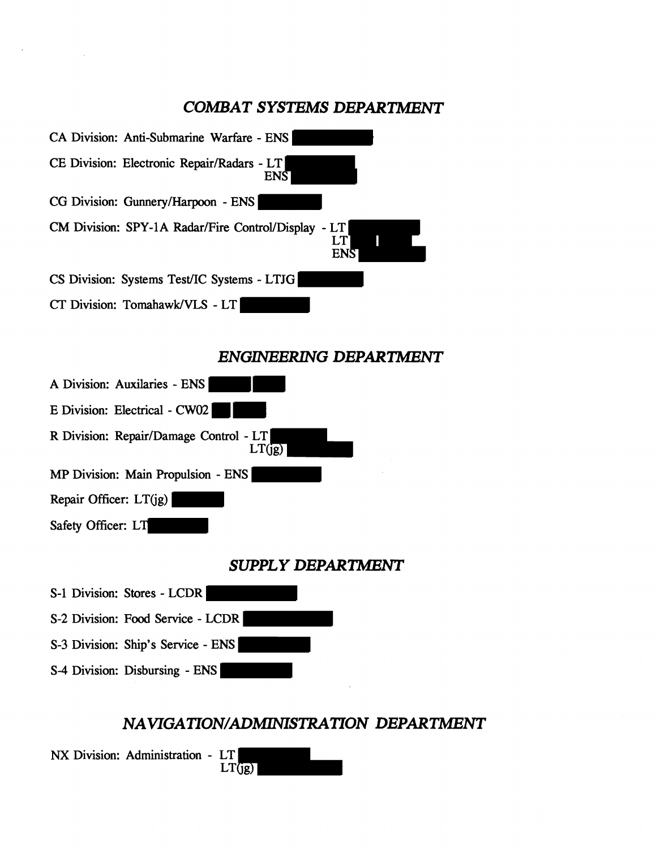## *COMBAT SYSTEMS DEPARTlMENT*



## **ENGINEERING DEPARTMENT**



S-4 Division: Disbursing - ENS

## NAVIGATION/ADMINISTRATION DEPARTMENT

**NX** Division: Administration - LT  $LT(jg)$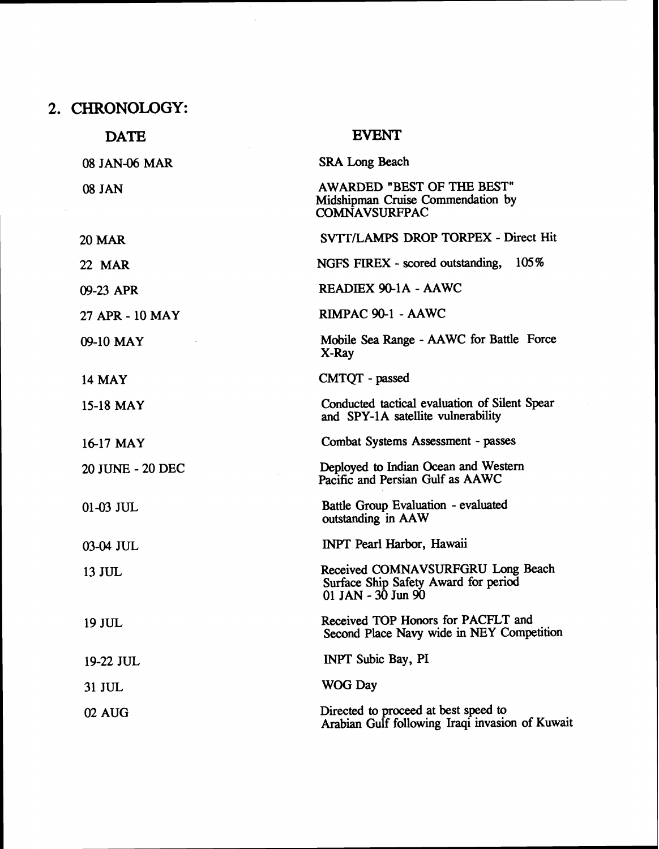**2. CHRONOLOGY:** 

| <b>DATE</b>      | <b>EVENT</b>                                                                                        |
|------------------|-----------------------------------------------------------------------------------------------------|
| 08 JAN-06 MAR    | <b>SRA Long Beach</b>                                                                               |
| <b>08 JAN</b>    | <b>AWARDED "BEST OF THE BEST"</b><br>Midshipman Cruise Commendation by<br><b>COMNAVSURFPAC</b>      |
| <b>20 MAR</b>    | SVTT/LAMPS DROP TORPEX - Direct Hit                                                                 |
| <b>22 MAR</b>    | 105%<br>NGFS FIREX - scored outstanding,                                                            |
| 09-23 APR        | READIEX 90-1A - AAWC                                                                                |
| 27 APR - 10 MAY  | RIMPAC 90-1 - AAWC                                                                                  |
| 09-10 MAY        | Mobile Sea Range - AAWC for Battle Force<br>X-Ray                                                   |
| <b>14 MAY</b>    | CMTQT - passed                                                                                      |
| 15-18 MAY        | Conducted tactical evaluation of Silent Spear<br>and SPY-1A satellite vulnerability                 |
| 16-17 MAY        | Combat Systems Assessment - passes                                                                  |
| 20 JUNE - 20 DEC | Deployed to Indian Ocean and Western<br>Pacific and Persian Gulf as AAWC                            |
| 01-03 JUL        | Battle Group Evaluation - evaluated<br>outstanding in AAW                                           |
| 03-04 JUL        | INPT Pearl Harbor, Hawaii                                                                           |
| 13 JUL           | Received COMNAVSURFGRU Long Beach<br>Surface Ship Safety Award for period<br>01 JAN - $30$ Jun $90$ |
| 19 JUL           | Received TOP Honors for PACFLT and<br>Second Place Navy wide in NEY Competition                     |
| 19-22 JUL        | <b>INPT</b> Subic Bay, PI                                                                           |
| 31 JUL           | <b>WOG Day</b>                                                                                      |
| 02 AUG           | Directed to proceed at best speed to<br>Arabian Gulf following Iraqi invasion of Kuwait             |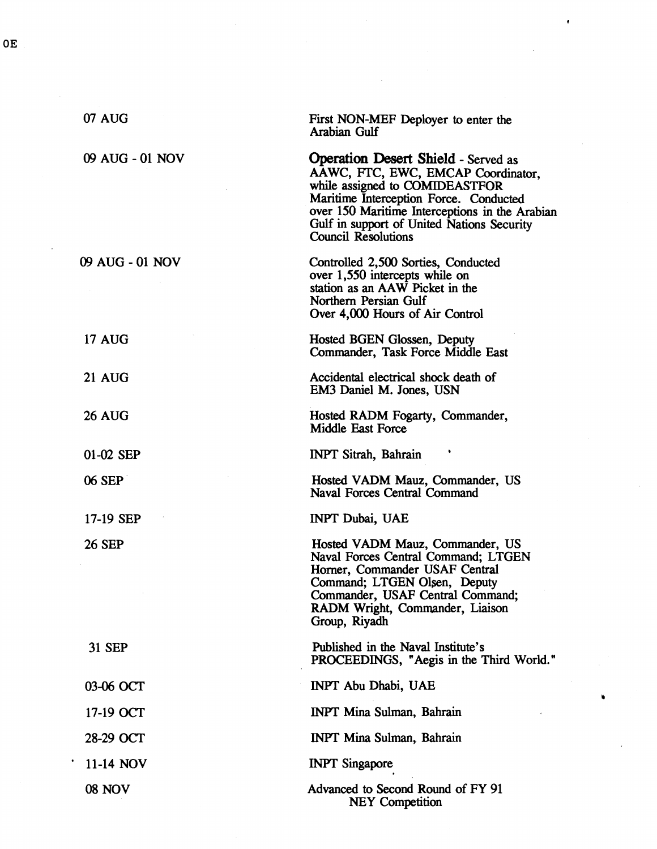| 07 AUG          | First NON-MEF Deployer to enter the<br>Arabian Gulf                                                                                                                                                                                                                                        |
|-----------------|--------------------------------------------------------------------------------------------------------------------------------------------------------------------------------------------------------------------------------------------------------------------------------------------|
| 09 AUG - 01 NOV | <b>Operation Desert Shield - Served as</b><br>AAWC, FTC, EWC, EMCAP Coordinator,<br>while assigned to COMIDEASTFOR<br>Maritime Interception Force. Conducted<br>over 150 Maritime Interceptions in the Arabian<br>Gulf in support of United Nations Security<br><b>Council Resolutions</b> |
| 09 AUG - 01 NOV | Controlled 2,500 Sorties, Conducted<br>over 1,550 intercepts while on<br>station as an AAW Picket in the<br>Northern Persian Gulf<br>Over 4,000 Hours of Air Control                                                                                                                       |
| <b>17 AUG</b>   | Hosted BGEN Glossen, Deputy<br>Commander, Task Force Middle East                                                                                                                                                                                                                           |
| <b>21 AUG</b>   | Accidental electrical shock death of<br>EM3 Daniel M. Jones, USN                                                                                                                                                                                                                           |
| <b>26 AUG</b>   | Hosted RADM Fogarty, Commander,<br>Middle East Force                                                                                                                                                                                                                                       |
| 01-02 SEP       | <b>INPT Sitrah, Bahrain</b>                                                                                                                                                                                                                                                                |
| 06 SEP          | Hosted VADM Mauz, Commander, US<br><b>Naval Forces Central Command</b>                                                                                                                                                                                                                     |
| 17-19 SEP       | <b>INPT Dubai, UAE</b>                                                                                                                                                                                                                                                                     |
| <b>26 SEP</b>   | Hosted VADM Mauz, Commander, US<br>Naval Forces Central Command; LTGEN<br>Horner, Commander USAF Central<br>Command; LTGEN Olsen, Deputy<br>Commander, USAF Central Command;<br>RADM Wright, Commander, Liaison<br>Group, Riyadh                                                           |
| 31 SEP          | Published in the Naval Institute's<br>PROCEEDINGS, "Aegis in the Third World."                                                                                                                                                                                                             |
| 03-06 OCT       | INPT Abu Dhabi, UAE                                                                                                                                                                                                                                                                        |
| 17-19 OCT       | <b>INPT Mina Sulman, Bahrain</b>                                                                                                                                                                                                                                                           |
| 28-29 OCT       | <b>INPT Mina Sulman, Bahrain</b>                                                                                                                                                                                                                                                           |
| 11-14 NOV       | <b>INPT</b> Singapore                                                                                                                                                                                                                                                                      |
| <b>08 NOV</b>   | Advanced to Second Round of FY 91<br><b>NEY Competition</b>                                                                                                                                                                                                                                |

@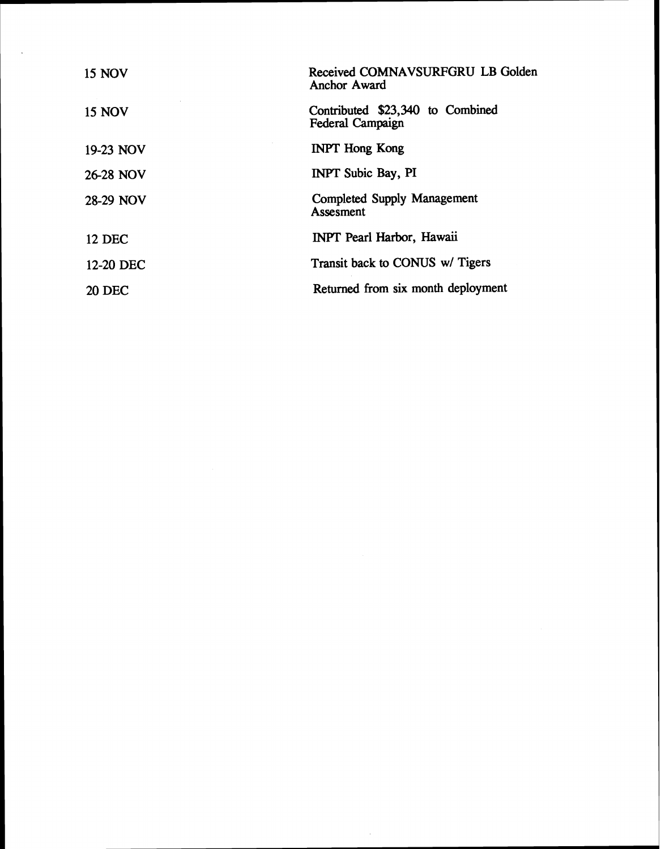| <b>15 NOV</b> | Received COMNAVSURFGRU LB Golden<br>Anchor Award     |
|---------------|------------------------------------------------------|
| <b>15 NOV</b> | Contributed \$23,340 to Combined<br>Federal Campaign |
| 19-23 NOV     | <b>INPT Hong Kong</b>                                |
| 26-28 NOV     | <b>INPT Subic Bay, PI</b>                            |
| 28-29 NOV     | <b>Completed Supply Management</b><br>Assesment      |
| <b>12 DEC</b> | <b>INPT</b> Pearl Harbor, Hawaii                     |
| 12-20 DEC     | Transit back to CONUS w/ Tigers                      |
| <b>20 DEC</b> | Returned from six month deployment                   |

 $\mathcal{L}_{\text{max}}$  and  $\mathcal{L}_{\text{max}}$  . The set of the set of the set of the set of the set of the set of the set of the set of the set of the set of the set of the set of the set of the set of the set of the set of the set of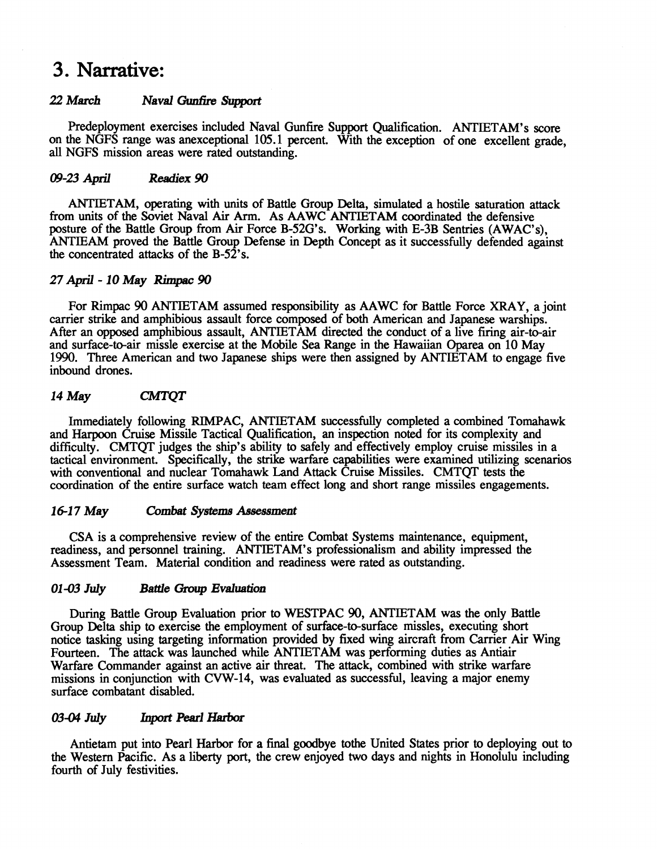## **3. Narrative:**

#### 22 March **Naval Gunfire Support**

Predeployment exercises included Naval Gunfie Support Qualification. ANTIETAM's score on the NGFS range was anexceptional 105.1 percent. With the exception of one excellent grade, all NGFS mission areas were rated outstanding.

#### **09-23 April** *Rerdiex* **90**

ANTIETAM, operating with units of Battle Group Delta, simulated a hostile saturation attack from units of the Soviet Naval Air Arm. As AAWC ANTIETAM coordinated the defensive posture of the Battle Group from Air Force B-52G's. Working with E-3B Sentries (AWAC's), ANTIEAM proved the Battle Group Defense in Depth Concept as it successfully defended against the concentrated attacks of the B-52's.

#### 27 April - 10 May Rimpac 90

For Rimpac 90 ANTIETAM assumed responsibility as AAWC for Battle Force **XRAY,** a joint carrier strike and amphibious assault force composed of both American and Japanese warships. After an opposed amphibious assault, ANTIETAM directed the conduct of a live firing air-to-air and surface-to-air missle exercise at the Mobile Sea Range in the Hawaiian Oparea on 10 May 1990. Three American and two Japanese ships were then assigned by ANTIETAM to engage five inbound drones.

#### 14 May **CMTOT**

Immediately following RIMPAC, ANTIETAM successfully completed a combined Tomahawk and Harpoon Cruise Missile Tactical Qualification, **an** inspection noted for its complexity and difficulty. CMTQT judges the ship's ability to safely and effectively employ cruise missiles in a tactical environment. Specifically, the strike warfare capabilities were examined utilizing scenarios with conventional and nuclear Tomahawk Land Attack Cruise Missiles. CMTQT tests the coordination of the entire surface watch team effect long and short range missiles engagements.

#### 16-17 May Combat Systems Assessment

CSA is a comprehensive review of the entire Combat Systems maintenance, equipment, readiness, and personnel training. ANTIETAM's professionalism and ability impressed the Assessment Team. Material condition and readiness were rated as outstanding.

#### *01* **-03** *July Battle* **Group Evaluation**

During Battle Group Evaluation prior to WESTPAC 90, ANTIETAM was the only Battle Group Delta ship to exercise the employment of surface-to-surface missles, executing short notice tasking using targeting information provided by fixed wing aircraft from Carrier Air Wing Fourteen. The attack was launched while ANTIETAM was performing duties as Antiair Warfare Commander against an active air threat. The attack, combined with strike warfare missions in conjunction with CVW-14, was evaluated as successful, leaving a major enemy surface combatant disabled.

#### 03-04 *July* **Inport Pearl Harbor**

Antietam put into Pearl Harbor for a final goodbye tothe United States prior to deploying out to the Western Pacific. As a liberty port, the crew enjoyed two days and nights in Honolulu including fourth of July festivities.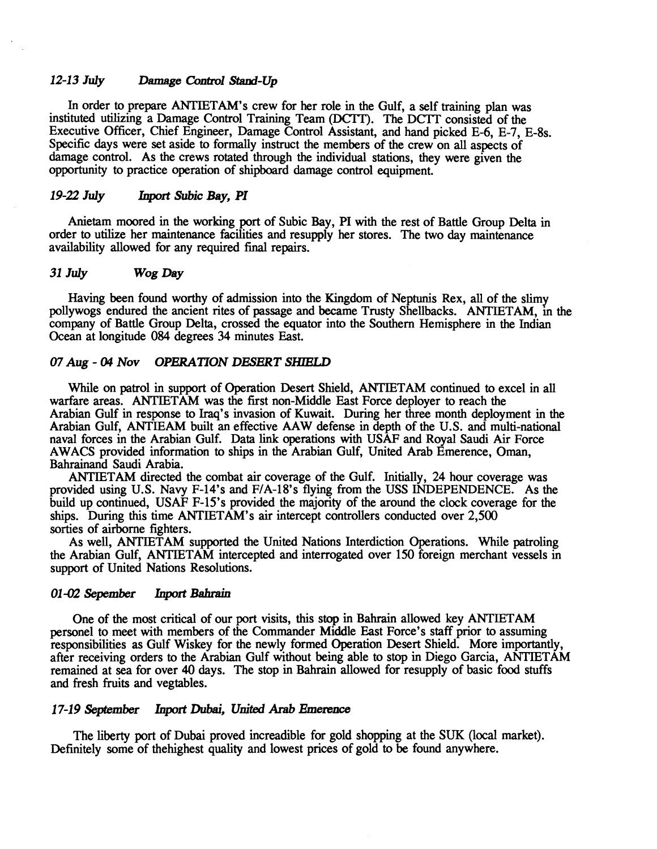#### 12-13 July Damage Control Stand-Up

In order to prepare ANTIETAM'S crew for her role in the Gulf, a self training plan was instituted utilizing a Damage Control Training Team (DCTT). The DCTT consisted of the Executive Officer, Chief Engineer, Damage Control Assistant, and hand picked E-6, E-7, E-8s. Specific days were set aside to formally instruct the members of the crew on all aspects of damage control. As the crews rotated through the individual stations, they were given the opportunity to practice operation of shipboard damage control equipment.

#### 19-22 July **Inport Subic Bay, PI**

Anietam moored in the working port of Subic Bay, PI with the rest of Battle Group Delta in order to utilize her maintenance facilities and resupply her stores. The two day maintenance availability allowed for any required final repairs.

#### **31 July Wog Day**

Having been found worthy of admission into the Kingdom of Neptunis Rex, all of the slimy pollywogs endured the ancient rites of passage and became Trusty Shellbacks. ANTIETAM, in the company of Battle Group Delta, crossed the equator into the Southern Hemisphere in the Indian Ocean at longitude **084** degrees 34 minutes East.

#### 07 Aug - 04 Nov OPERATION DESERT SHIELD

While on patrol in support of Operation Desert Shield, ANTIETAM continued to excel in **all**  warfare areas. ANTIETAM was the first non-Middle East Force deployer to reach the Arabian Gulf in response to Iraq's invasion of Kuwait. During her **three** month deployment in the Arabian Gulf, ANTIEAM built an effective AAW defense in depth of the U.S. and multi-national naval forces in the Arabian Gulf. Data **link** operations with USAF and Royal Saudi Air Force AWACS provided information to ships in the Arabian Gulf, United Arab Emerence, Oman, Bahrainand Saudi Arabia.

ANTIETAM directed the combat air coverage of the Gulf. Initially, 24 hour coverage was provided using U.S. Navy F-14's and FIA-18's flying from the USS INDEPENDENCE. As the build up continued, USAF F-15's provided the majority of the around the clock coverage for the ships. During this time ANTIETAM's air intercept controllers conducted over 2,500 sorties of airborne fighters.

As well, ANTIETAM supported the United Nations Interdiction Operations. While patroling the Arabian Gulf, ANTIETAM intercepted and interrogated over 150 foreign merchant vessels in support of United Nations Resolutions.

#### 01-02 Sepember Inport Bahrain

One of the most critical of our port visits, this stop in Bahrain allowed key ANTIETAM personel to meet with members of the Commander Middle East Force's staff prior to assuming responsibilities as Gulf Wiskey for the newly formed Operation Desert Shield. More importantly, after receiving orders to the Arabian Gulf without being able to stop in Diego Garcia, ANTIETAM remained at sea for over 40 days. The stop in Bahrain allowed for resupply of basic food stuffs and fresh fruits and vegtables.

#### 17-19 **September Inport Dubai, United Arab Emerence**

The liberty port of Dubai proved increadible for gold shopping at the SUK (local market). Definitely some of thehighest quality and lowest prices of gold to be found anywhere.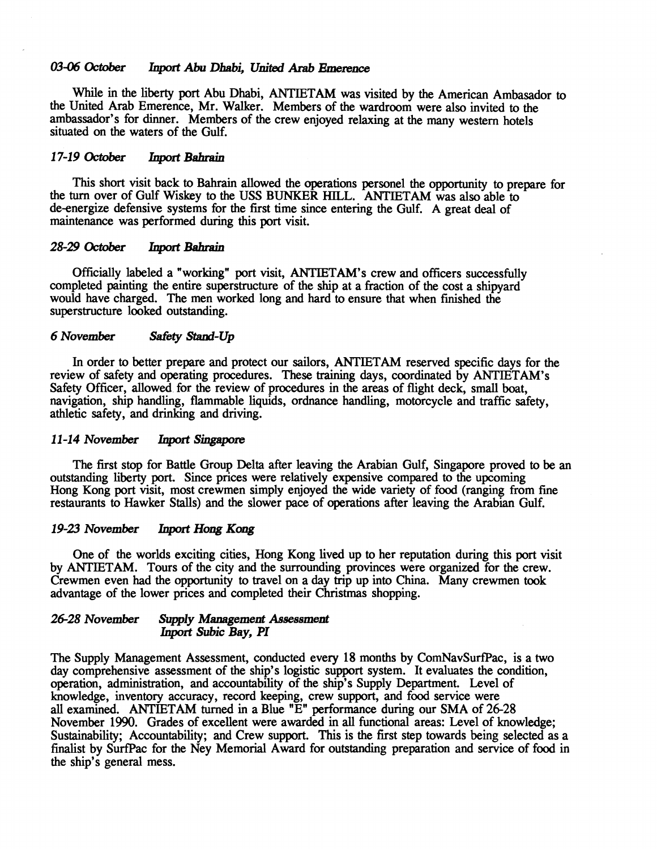#### 03-06 October **Inport Abu Dhabi, United Arab Emerence**

While in the liberty port Abu Dhabi, **ANTIETAM** was visited by the American Ambasador to the United Arab Emerence, Mr. Walker. Members of the wardroom were also invited to the ambassador's for dinner. Members of the crew enjoyed relaxing at the many western hotels situated on the waters of the Gulf.

#### **17-19** *Octolber* **Inport Bahrain**

This short visit back to Bahrain allowed the operations personel the opportunity to prepare for the turn over of Gulf Wiskey to the USS BUNKER **HILL.** ANTIETAM was also able to de-energize defensive systems for the first time since entering the Gulf. A great deal of maintenance was performed during this port visit.

#### **28-29** *October* Inport **Bahrain**

Officially labeled a "working" port visit, ANTIETAM'S crew and officers successfully completed painting the entire superstructure of the ship at a fraction of the cost a shipyard would have charged. The men worked long and hard to ensure that when finished the superstructure looked outstanding.

#### 6 *November safety* **Staod-Up**

In order to better prepare and protect our sailors, ANTIETAM reserved specific days for the review of safety and operating procedures. These training days, coordinated by ANTIETAM'S Safety Officer, allowed for the review of procedures in the areas of flight deck, small boat, navigation, ship handling, flammable liquids, ordnance handling, motorcycle and traffic safety, athletic safety, and drinking and driving.

#### **11 -1** 4 *November* **Inport** *Singapore*

The first stop for Battle Group Delta after leaving the Arabian Gulf, Singapore proved to be an outstanding liberty port. Since prices were relatively expensive compared to the upcoming Hong Kong port visit, most crewmen simply enjoyed the wide variety of food (ranging from fine restaurants to Hawker Stalls) and the slower pace of operations after leaving the Arabian Gulf.

#### **19-23** *November hport Hong Kong*

One of the worlds exciting cities, Hong Kong lived up to her reputation during this port visit by ANTIETAM. Tours of the city and the surrounding provinces were organized for the crew. Crewmen even had the opportunity to travel on a day trip up into China. Many crewmen took advantage of the lower prices and completed their Christmas shopping.

#### **26-28** *November Supply Management Assessment*  **hprt Subic Bay, PI**

The Supply Management Assessment, conducted every 18 months by CornNavSurfPac, is a two day comprehensive assessment of the ship's logistic support system. It evaluates the condition, operation, administration, and accountability of the ship's Supply Department. Level of knowledge, inventory accuracy, record keeping, crew support, and food service were all examined. **ANTIETAM** turned in a Blue "E" performance during our SMA of 2628 November 1990. Grades of excellent were awarded in all functional areas: Level of knowledge; Sustainability; Accountability; and Crew support. This is the first step towards being selected as a finalist by SurfPac for the Ney Memorial Award for outstanding preparation and service of food in the ship's general mess.